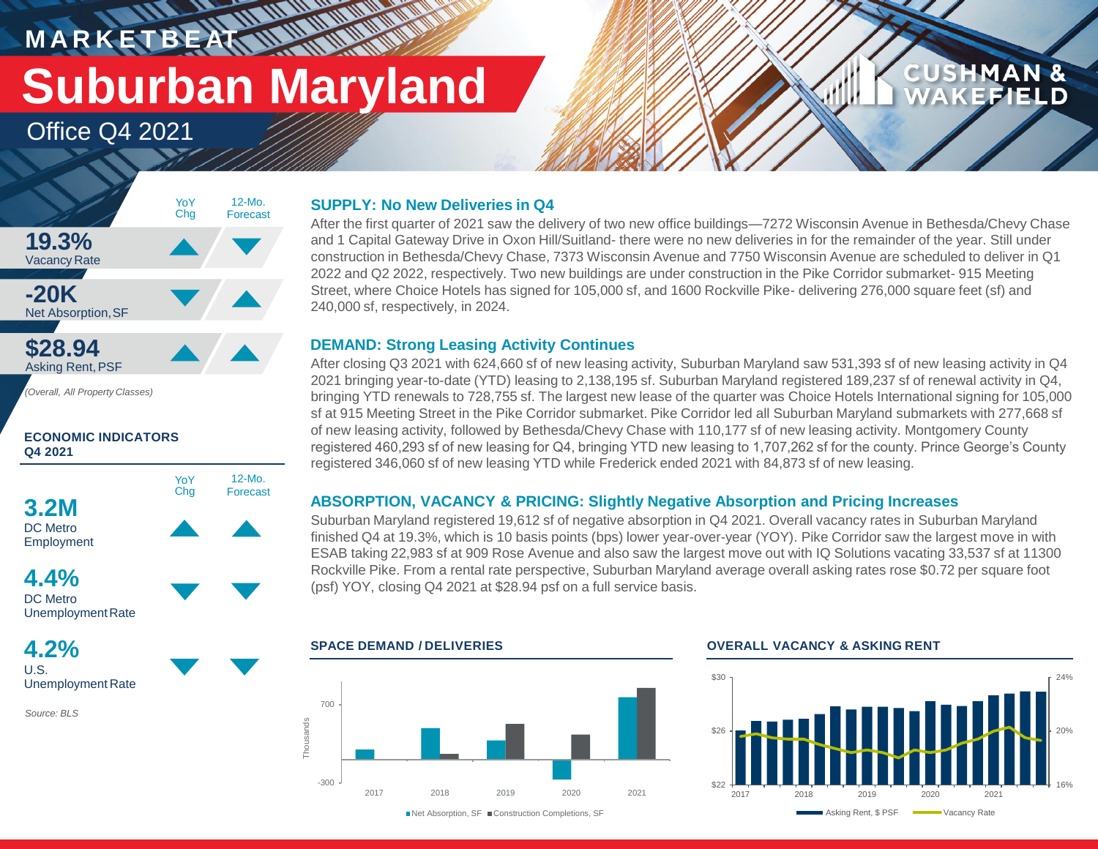# **M A R K E T B E AT Suburban Maryland**

**RANCH COMPANY** 

Office Q4 2021



*(Overall, All Property Classes)*

#### **ECONOMIC INDICATORS Q4 2021**



Employment

**4.4%** DC Metro Unemployment Rate

**4.2%** U.S. Unemployment Rate

*Source: BLS*

#### **SUPPLY: No New Deliveries in Q4**

After the first quarter of 2021 saw the delivery of two new office buildings—7272 Wisconsin Avenue in Bethesda/Chevy Chase and 1 Capital Gateway Drive in Oxon Hill/Suitland- there were no new deliveries in for the remainder of the year. Still under construction in Bethesda/Chevy Chase, 7373 Wisconsin Avenue and 7750 Wisconsin Avenue are scheduled to deliver in Q1 2022 and Q2 2022, respectively. Two new buildings are under construction in the Pike Corridor submarket- 915 Meeting Street, where Choice Hotels has signed for 105,000 sf, and 1600 Rockville Pike- delivering 276,000 square feet (sf) and 240,000 sf, respectively, in 2024.

#### **DEMAND: Strong Leasing Activity Continues**

After closing Q3 2021 with 624,660 sf of new leasing activity, Suburban Maryland saw 531,393 sf of new leasing activity in Q4 2021 bringing year-to-date (YTD) leasing to 2,138,195 sf. Suburban Maryland registered 189,237 sf of renewal activity in Q4, bringing YTD renewals to 728,755 sf. The largest new lease of the quarter was Choice Hotels International signing for 105,000 sf at 915 Meeting Street in the Pike Corridor submarket. Pike Corridor led all Suburban Maryland submarkets with 277,668 sf of new leasing activity, followed by Bethesda/Chevy Chase with 110,177 sf of new leasing activity. Montgomery County registered 460,293 sf of new leasing for Q4, bringing YTD new leasing to 1,707,262 sf for the county. Prince George's County registered 346,060 sf of new leasing YTD while Frederick ended 2021 with 84,873 sf of new leasing.

### **ABSORPTION, VACANCY & PRICING: Slightly Negative Absorption and Pricing Increases**

Suburban Maryland registered 19,612 sf of negative absorption in Q4 2021. Overall vacancy rates in Suburban Maryland finished Q4 at 19.3%, which is 10 basis points (bps) lower year-over-year (YOY). Pike Corridor saw the largest move in with ESAB taking 22,983 sf at 909 Rose Avenue and also saw the largest move out with IQ Solutions vacating 33,537 sf at 11300 Rockville Pike. From a rental rate perspective, Suburban Maryland average overall asking rates rose \$0.72 per square foot (psf) YOY, closing Q4 2021 at \$28.94 psf on a full service basis.



#### **SPACE DEMAND / DELIVERIES OVERALL VACANCY & ASKING RENT**



**CUSHMAN &** 

**EFIELD**